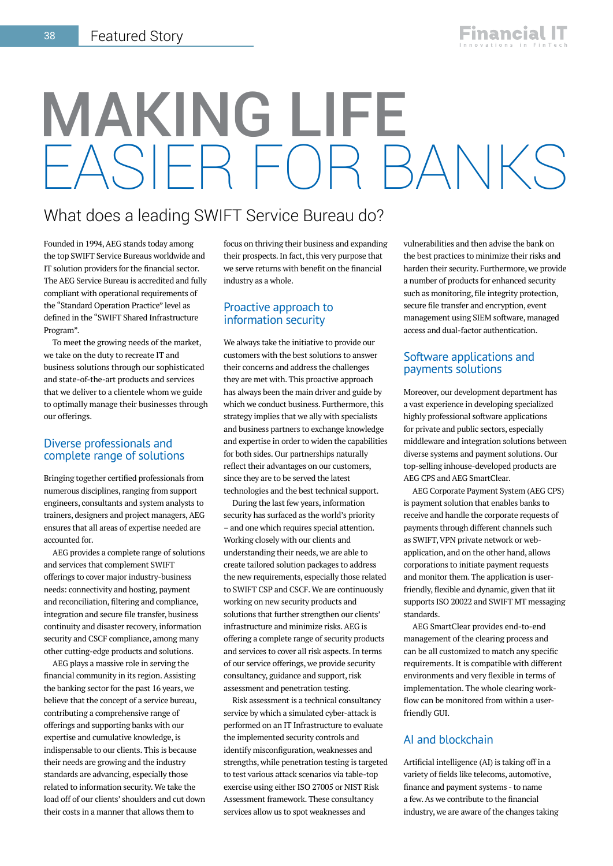# MAKING LIFE EASIER FOR BANKS

### What does a leading SWIFT Service Bureau do?

Founded in 1994, AEG stands today among the top SWIFT Service Bureaus worldwide and IT solution providers for the financial sector. The AEG Service Bureau is accredited and fully compliant with operational requirements of the "Standard Operation Practice" level as defined in the "SWIFT Shared Infrastructure Program".

To meet the growing needs of the market, we take on the duty to recreate IT and business solutions through our sophisticated and state-of-the-art products and services that we deliver to a clientele whom we guide to optimally manage their businesses through our offerings.

#### Diverse professionals and complete range of solutions

Bringing together certified professionals from numerous disciplines, ranging from support engineers, consultants and system analysts to trainers, designers and project managers, AEG ensures that all areas of expertise needed are accounted for.

AEG provides a complete range of solutions and services that complement SWIFT offerings to cover major industry-business needs: connectivity and hosting, payment and reconciliation, filtering and compliance, integration and secure file transfer, business continuity and disaster recovery, information security and CSCF compliance, among many other cutting-edge products and solutions.

AEG plays a massive role in serving the financial community in its region. Assisting the banking sector for the past 16 years, we believe that the concept of a service bureau, contributing a comprehensive range of offerings and supporting banks with our expertise and cumulative knowledge, is indispensable to our clients. This is because their needs are growing and the industry standards are advancing, especially those related to information security. We take the load off of our clients' shoulders and cut down their costs in a manner that allows them to

focus on thriving their business and expanding their prospects. In fact, this very purpose that we serve returns with benefit on the financial industry as a whole.

#### Proactive approach to information security

We always take the initiative to provide our customers with the best solutions to answer their concerns and address the challenges they are met with. This proactive approach has always been the main driver and guide by which we conduct business. Furthermore, this strategy implies that we ally with specialists and business partners to exchange knowledge and expertise in order to widen the capabilities for both sides. Our partnerships naturally reflect their advantages on our customers, since they are to be served the latest technologies and the best technical support.

During the last few years, information security has surfaced as the world's priority – and one which requires special attention. Working closely with our clients and understanding their needs, we are able to create tailored solution packages to address the new requirements, especially those related to SWIFT CSP and CSCF. We are continuously working on new security products and solutions that further strengthen our clients' infrastructure and minimize risks. AEG is offering a complete range of security products and services to cover all risk aspects. In terms of our service offerings, we provide security consultancy, guidance and support, risk assessment and penetration testing.

Risk assessment is a technical consultancy service by which a simulated cyber-attack is performed on an IT Infrastructure to evaluate the implemented security controls and identify misconfiguration, weaknesses and strengths, while penetration testing is targeted to test various attack scenarios via table-top exercise using either ISO 27005 or NIST Risk Assessment framework. These consultancy services allow us to spot weaknesses and

vulnerabilities and then advise the bank on the best practices to minimize their risks and harden their security. Furthermore, we provide a number of products for enhanced security such as monitoring, file integrity protection, secure file transfer and encryption, event management using SIEM software, managed access and dual-factor authentication.

#### Software applications and payments solutions

Moreover, our development department has a vast experience in developing specialized highly professional software applications for private and public sectors, especially middleware and integration solutions between diverse systems and payment solutions. Our top-selling inhouse-developed products are AEG CPS and AEG SmartClear.

AEG Corporate Payment System (AEG CPS) is payment solution that enables banks to receive and handle the corporate requests of payments through different channels such as SWIFT, VPN private network or webapplication, and on the other hand, allows corporations to initiate payment requests and monitor them. The application is userfriendly, flexible and dynamic, given that iit supports ISO 20022 and SWIFT MT messaging standards.

AEG SmartClear provides end-to-end management of the clearing process and can be all customized to match any specific requirements. It is compatible with different environments and very flexible in terms of implementation. The whole clearing workflow can be monitored from within a userfriendly GUI.

### AI and blockchain

Artificial intelligence (AI) is taking off in a variety of fields like telecoms, automotive, finance and payment systems - to name a few. As we contribute to the financial industry, we are aware of the changes taking